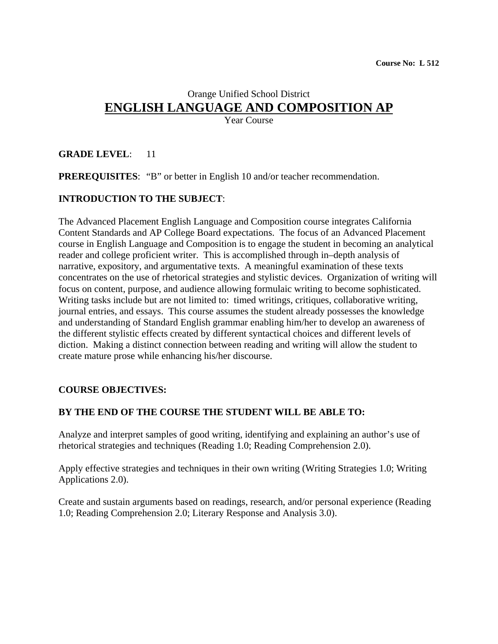# Orange Unified School District **ENGLISH LANGUAGE AND COMPOSITION AP**

Year Course

# **GRADE LEVEL**: 11

**PREREQUISITES:** "B" or better in English 10 and/or teacher recommendation.

# **INTRODUCTION TO THE SUBJECT**:

The Advanced Placement English Language and Composition course integrates California Content Standards and AP College Board expectations. The focus of an Advanced Placement course in English Language and Composition is to engage the student in becoming an analytical reader and college proficient writer. This is accomplished through in–depth analysis of narrative, expository, and argumentative texts. A meaningful examination of these texts concentrates on the use of rhetorical strategies and stylistic devices. Organization of writing will focus on content, purpose, and audience allowing formulaic writing to become sophisticated. Writing tasks include but are not limited to: timed writings, critiques, collaborative writing, journal entries, and essays. This course assumes the student already possesses the knowledge and understanding of Standard English grammar enabling him/her to develop an awareness of the different stylistic effects created by different syntactical choices and different levels of diction. Making a distinct connection between reading and writing will allow the student to create mature prose while enhancing his/her discourse.

# **COURSE OBJECTIVES:**

#### **BY THE END OF THE COURSE THE STUDENT WILL BE ABLE TO:**

Analyze and interpret samples of good writing, identifying and explaining an author's use of rhetorical strategies and techniques (Reading 1.0; Reading Comprehension 2.0).

Apply effective strategies and techniques in their own writing (Writing Strategies 1.0; Writing Applications 2.0).

Create and sustain arguments based on readings, research, and/or personal experience (Reading 1.0; Reading Comprehension 2.0; Literary Response and Analysis 3.0).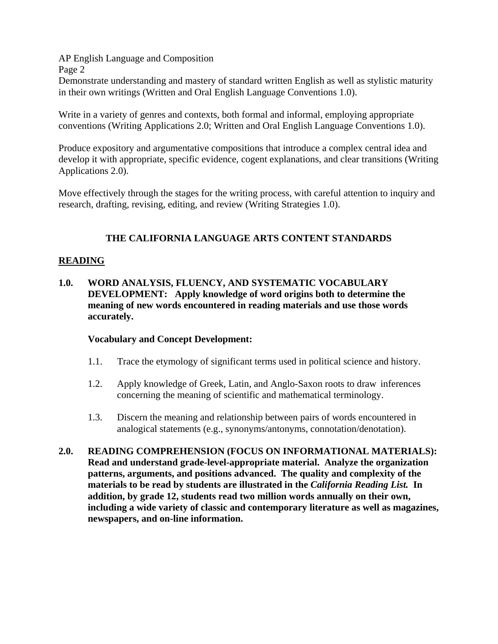Demonstrate understanding and mastery of standard written English as well as stylistic maturity in their own writings (Written and Oral English Language Conventions 1.0).

Write in a variety of genres and contexts, both formal and informal, employing appropriate conventions (Writing Applications 2.0; Written and Oral English Language Conventions 1.0).

Produce expository and argumentative compositions that introduce a complex central idea and develop it with appropriate, specific evidence, cogent explanations, and clear transitions (Writing Applications 2.0).

Move effectively through the stages for the writing process, with careful attention to inquiry and research, drafting, revising, editing, and review (Writing Strategies 1.0).

# **THE CALIFORNIA LANGUAGE ARTS CONTENT STANDARDS**

#### **READING**

**1.0. WORD ANALYSIS, FLUENCY, AND SYSTEMATIC VOCABULARY DEVELOPMENT: Apply knowledge of word origins both to determine the meaning of new words encountered in reading materials and use those words accurately.** 

#### **Vocabulary and Concept Development:**

- 1.1. Trace the etymology of significant terms used in political science and history.
- 1.2. Apply knowledge of Greek, Latin, and Anglo-Saxon roots to draw inferences concerning the meaning of scientific and mathematical terminology.
- 1.3. Discern the meaning and relationship between pairs of words encountered in analogical statements (e.g., synonyms/antonyms, connotation/denotation).
- **2.0. READING COMPREHENSION (FOCUS ON INFORMATIONAL MATERIALS): Read and understand grade-level-appropriate material. Analyze the organization patterns, arguments, and positions advanced. The quality and complexity of the materials to be read by students are illustrated in the** *California Reading List.* **In addition, by grade 12, students read two million words annually on their own, including a wide variety of classic and contemporary literature as well as magazines, newspapers, and on-line information.**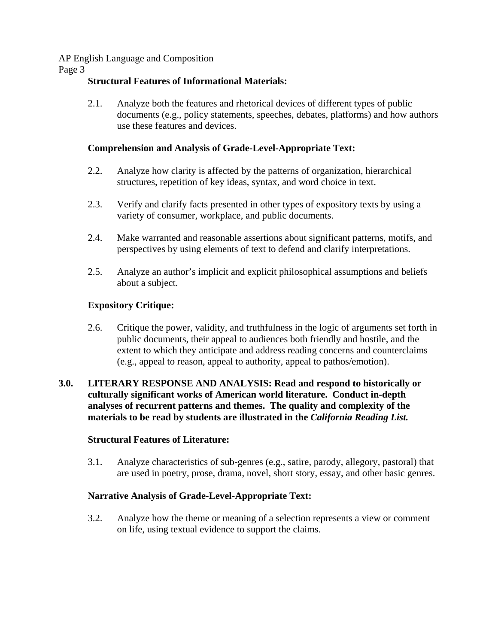Page 3

# **Structural Features of Informational Materials:**

2.1. Analyze both the features and rhetorical devices of different types of public documents (e.g., policy statements, speeches, debates, platforms) and how authors use these features and devices.

# **Comprehension and Analysis of Grade-Level-Appropriate Text:**

- 2.2. Analyze how clarity is affected by the patterns of organization, hierarchical structures, repetition of key ideas, syntax, and word choice in text.
- 2.3. Verify and clarify facts presented in other types of expository texts by using a variety of consumer, workplace, and public documents.
- 2.4. Make warranted and reasonable assertions about significant patterns, motifs, and perspectives by using elements of text to defend and clarify interpretations.
- 2.5. Analyze an author's implicit and explicit philosophical assumptions and beliefs about a subject.

# **Expository Critique:**

2.6. Critique the power, validity, and truthfulness in the logic of arguments set forth in public documents, their appeal to audiences both friendly and hostile, and the extent to which they anticipate and address reading concerns and counterclaims (e.g., appeal to reason, appeal to authority, appeal to pathos/emotion).

### **3.0. LITERARY RESPONSE AND ANALYSIS: Read and respond to historically or culturally significant works of American world literature. Conduct in-depth analyses of recurrent patterns and themes. The quality and complexity of the materials to be read by students are illustrated in the** *California Reading List.*

# **Structural Features of Literature:**

3.1. Analyze characteristics of sub-genres (e.g., satire, parody, allegory, pastoral) that are used in poetry, prose, drama, novel, short story, essay, and other basic genres.

# **Narrative Analysis of Grade-Level-Appropriate Text:**

3.2. Analyze how the theme or meaning of a selection represents a view or comment on life, using textual evidence to support the claims.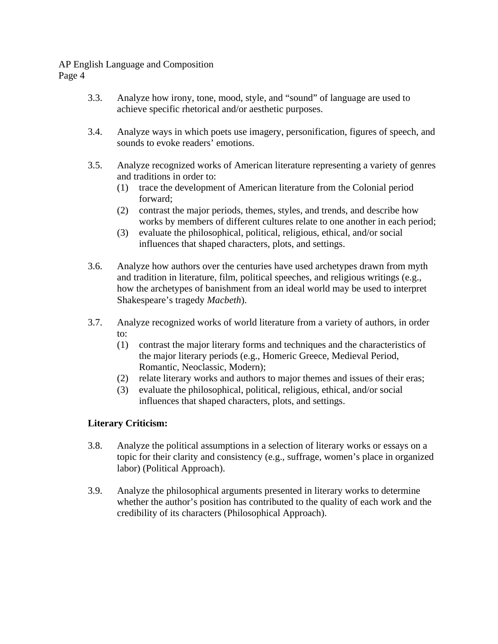- 3.3. Analyze how irony, tone, mood, style, and "sound" of language are used to achieve specific rhetorical and/or aesthetic purposes.
- 3.4. Analyze ways in which poets use imagery, personification, figures of speech, and sounds to evoke readers' emotions.
- 3.5. Analyze recognized works of American literature representing a variety of genres and traditions in order to:
	- (1) trace the development of American literature from the Colonial period forward;
	- (2) contrast the major periods, themes, styles, and trends, and describe how works by members of different cultures relate to one another in each period;
	- (3) evaluate the philosophical, political, religious, ethical, and/or social influences that shaped characters, plots, and settings.
- 3.6. Analyze how authors over the centuries have used archetypes drawn from myth and tradition in literature, film, political speeches, and religious writings (e.g., how the archetypes of banishment from an ideal world may be used to interpret Shakespeare's tragedy *Macbeth*).
- 3.7. Analyze recognized works of world literature from a variety of authors, in order to:
	- (1) contrast the major literary forms and techniques and the characteristics of the major literary periods (e.g., Homeric Greece, Medieval Period, Romantic, Neoclassic, Modern);
	- (2) relate literary works and authors to major themes and issues of their eras;
	- (3) evaluate the philosophical, political, religious, ethical, and/or social influences that shaped characters, plots, and settings.

# **Literary Criticism:**

- 3.8. Analyze the political assumptions in a selection of literary works or essays on a topic for their clarity and consistency (e.g., suffrage, women's place in organized labor) (Political Approach).
- 3.9. Analyze the philosophical arguments presented in literary works to determine whether the author's position has contributed to the quality of each work and the credibility of its characters (Philosophical Approach).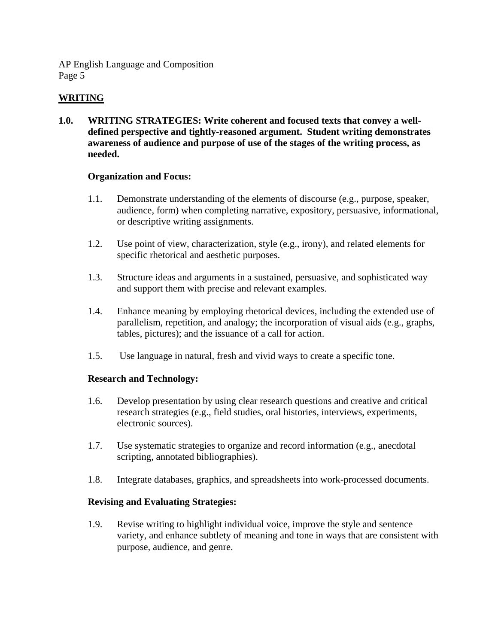# **WRITING**

**1.0. WRITING STRATEGIES: Write coherent and focused texts that convey a welldefined perspective and tightly-reasoned argument. Student writing demonstrates awareness of audience and purpose of use of the stages of the writing process, as needed.** 

#### **Organization and Focus:**

- 1.1. Demonstrate understanding of the elements of discourse (e.g., purpose, speaker, audience, form) when completing narrative, expository, persuasive, informational, or descriptive writing assignments.
- 1.2. Use point of view, characterization, style (e.g., irony), and related elements for specific rhetorical and aesthetic purposes.
- 1.3. Structure ideas and arguments in a sustained, persuasive, and sophisticated way and support them with precise and relevant examples.
- 1.4. Enhance meaning by employing rhetorical devices, including the extended use of parallelism, repetition, and analogy; the incorporation of visual aids (e.g., graphs, tables, pictures); and the issuance of a call for action.
- 1.5. Use language in natural, fresh and vivid ways to create a specific tone.

# **Research and Technology:**

- 1.6. Develop presentation by using clear research questions and creative and critical research strategies (e.g., field studies, oral histories, interviews, experiments, electronic sources).
- 1.7. Use systematic strategies to organize and record information (e.g., anecdotal scripting, annotated bibliographies).
- 1.8. Integrate databases, graphics, and spreadsheets into work-processed documents.

#### **Revising and Evaluating Strategies:**

1.9. Revise writing to highlight individual voice, improve the style and sentence variety, and enhance subtlety of meaning and tone in ways that are consistent with purpose, audience, and genre.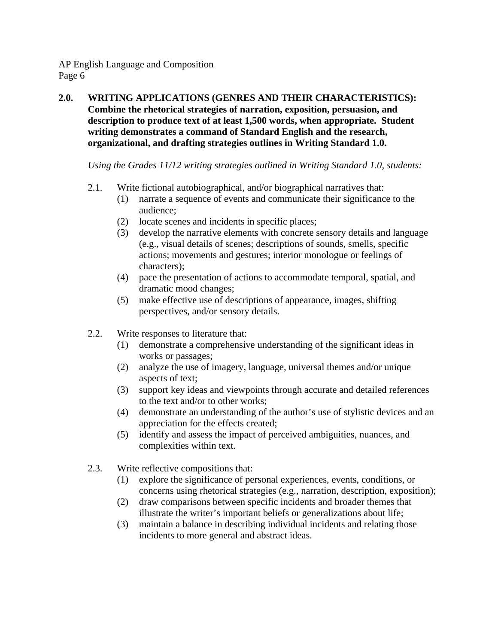**2.0. WRITING APPLICATIONS (GENRES AND THEIR CHARACTERISTICS): Combine the rhetorical strategies of narration, exposition, persuasion, and description to produce text of at least 1,500 words, when appropriate. Student writing demonstrates a command of Standard English and the research, organizational, and drafting strategies outlines in Writing Standard 1.0.** 

*Using the Grades 11/12 writing strategies outlined in Writing Standard 1.0, students:* 

- 2.1. Write fictional autobiographical, and/or biographical narratives that:
	- (1) narrate a sequence of events and communicate their significance to the audience;
	- (2) locate scenes and incidents in specific places;
	- (3) develop the narrative elements with concrete sensory details and language (e.g., visual details of scenes; descriptions of sounds, smells, specific actions; movements and gestures; interior monologue or feelings of characters);
	- (4) pace the presentation of actions to accommodate temporal, spatial, and dramatic mood changes;
	- (5) make effective use of descriptions of appearance, images, shifting perspectives, and/or sensory details.
- 2.2. Write responses to literature that:
	- (1) demonstrate a comprehensive understanding of the significant ideas in works or passages;
	- (2) analyze the use of imagery, language, universal themes and/or unique aspects of text;
	- (3) support key ideas and viewpoints through accurate and detailed references to the text and/or to other works;
	- (4) demonstrate an understanding of the author's use of stylistic devices and an appreciation for the effects created;
	- (5) identify and assess the impact of perceived ambiguities, nuances, and complexities within text.
- 2.3. Write reflective compositions that:
	- (1) explore the significance of personal experiences, events, conditions, or concerns using rhetorical strategies (e.g., narration, description, exposition);
	- (2) draw comparisons between specific incidents and broader themes that illustrate the writer's important beliefs or generalizations about life;
	- (3) maintain a balance in describing individual incidents and relating those incidents to more general and abstract ideas.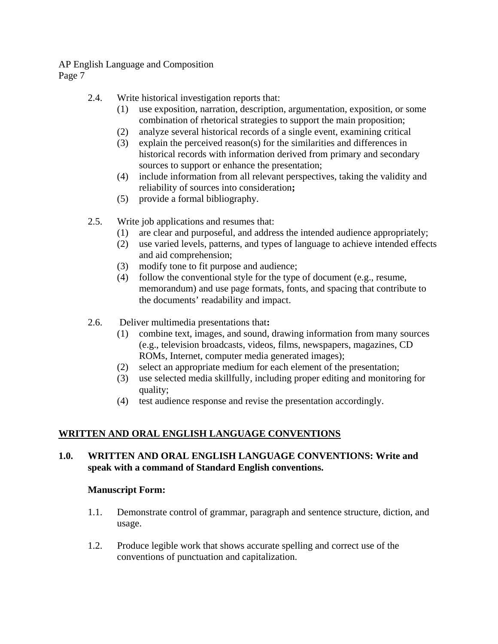# 2.4. Write historical investigation reports that:

- (1) use exposition, narration, description, argumentation, exposition, or some combination of rhetorical strategies to support the main proposition;
- (2) analyze several historical records of a single event, examining critical
- (3) explain the perceived reason(s) for the similarities and differences in historical records with information derived from primary and secondary sources to support or enhance the presentation;
- (4) include information from all relevant perspectives, taking the validity and reliability of sources into consideration**;**
- (5) provide a formal bibliography.
- 2.5. Write job applications and resumes that:
	- (1) are clear and purposeful, and address the intended audience appropriately;
	- (2) use varied levels, patterns, and types of language to achieve intended effects and aid comprehension;
	- (3) modify tone to fit purpose and audience;
	- (4) follow the conventional style for the type of document (e.g., resume, memorandum) and use page formats, fonts, and spacing that contribute to the documents' readability and impact.
- 2.6. Deliver multimedia presentations that**:** 
	- (1) combine text, images, and sound, drawing information from many sources (e.g., television broadcasts, videos, films, newspapers, magazines, CD ROMs, Internet, computer media generated images);
	- (2) select an appropriate medium for each element of the presentation;
	- (3) use selected media skillfully, including proper editing and monitoring for quality;
	- (4) test audience response and revise the presentation accordingly.

# **WRITTEN AND ORAL ENGLISH LANGUAGE CONVENTIONS**

# **1.0. WRITTEN AND ORAL ENGLISH LANGUAGE CONVENTIONS: Write and speak with a command of Standard English conventions.**

# **Manuscript Form:**

- 1.1. Demonstrate control of grammar, paragraph and sentence structure, diction, and usage.
- 1.2. Produce legible work that shows accurate spelling and correct use of the conventions of punctuation and capitalization.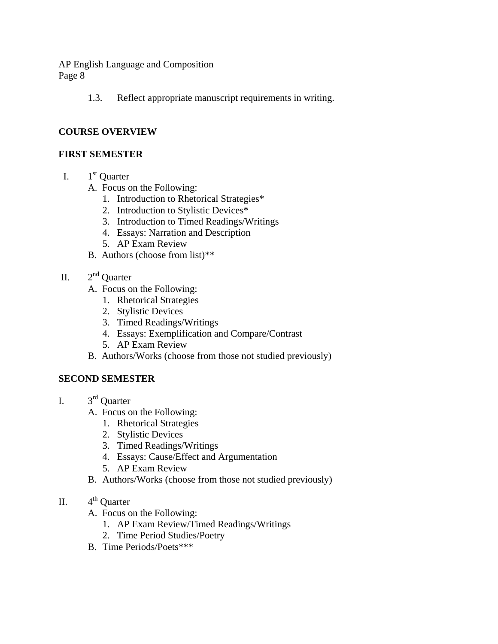1.3. Reflect appropriate manuscript requirements in writing.

#### **COURSE OVERVIEW**

#### **FIRST SEMESTER**

- I.  $1<sup>st</sup>$  Quarter
	- A. Focus on the Following:
		- 1. Introduction to Rhetorical Strategies\*
		- 2. Introduction to Stylistic Devices\*
		- 3. Introduction to Timed Readings/Writings
		- 4. Essays: Narration and Description
		- 5. AP Exam Review
	- B. Authors (choose from list)\*\*
- II.  $2<sup>nd</sup>$  Quarter
	- A. Focus on the Following:
		- 1. Rhetorical Strategies
		- 2. Stylistic Devices
		- 3. Timed Readings/Writings
		- 4. Essays: Exemplification and Compare/Contrast
		- 5. AP Exam Review
	- B. Authors/Works (choose from those not studied previously)

#### **SECOND SEMESTER**

- I. 3rd Quarter
	- A. Focus on the Following:
		- 1. Rhetorical Strategies
		- 2. Stylistic Devices
		- 3. Timed Readings/Writings
		- 4. Essays: Cause/Effect and Argumentation
		- 5. AP Exam Review
	- B. Authors/Works (choose from those not studied previously)
- II.  $4^{\text{th}}$  Ouarter
	- A. Focus on the Following:
		- 1. AP Exam Review/Timed Readings/Writings
		- 2. Time Period Studies/Poetry
	- B. Time Periods/Poets\*\*\*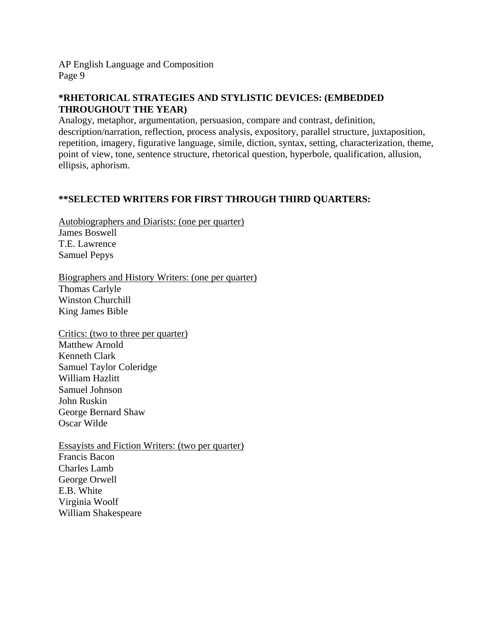# **\*RHETORICAL STRATEGIES AND STYLISTIC DEVICES: (EMBEDDED THROUGHOUT THE YEAR)**

Analogy, metaphor, argumentation, persuasion, compare and contrast, definition, description/narration, reflection, process analysis, expository, parallel structure, juxtaposition, repetition, imagery, figurative language, simile, diction, syntax, setting, characterization, theme, point of view, tone, sentence structure, rhetorical question, hyperbole, qualification, allusion, ellipsis, aphorism.

# **\*\*SELECTED WRITERS FOR FIRST THROUGH THIRD QUARTERS:**

Autobiographers and Diarists: (one per quarter) James Boswell T.E. Lawrence Samuel Pepys

Biographers and History Writers: (one per quarter) Thomas Carlyle Winston Churchill King James Bible

Critics: (two to three per quarter) Matthew Arnold Kenneth Clark Samuel Taylor Coleridge William Hazlitt Samuel Johnson John Ruskin George Bernard Shaw Oscar Wilde

Essayists and Fiction Writers: (two per quarter) Francis Bacon Charles Lamb George Orwell E.B. White Virginia Woolf William Shakespeare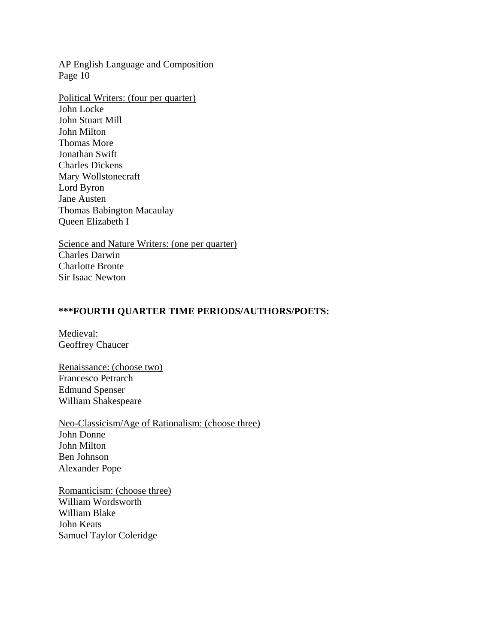Political Writers: (four per quarter) John Locke John Stuart Mill John Milton Thomas More Jonathan Swift Charles Dickens Mary Wollstonecraft Lord Byron Jane Austen Thomas Babington Macaulay Queen Elizabeth I

Science and Nature Writers: (one per quarter) Charles Darwin Charlotte Bronte Sir Isaac Newton

#### **\*\*\*FOURTH QUARTER TIME PERIODS/AUTHORS/POETS:**

Medieval: Geoffrey Chaucer

Renaissance: (choose two) Francesco Petrarch Edmund Spenser William Shakespeare

Neo-Classicism/Age of Rationalism: (choose three) John Donne John Milton Ben Johnson Alexander Pope

Romanticism: (choose three) William Wordsworth William Blake John Keats Samuel Taylor Coleridge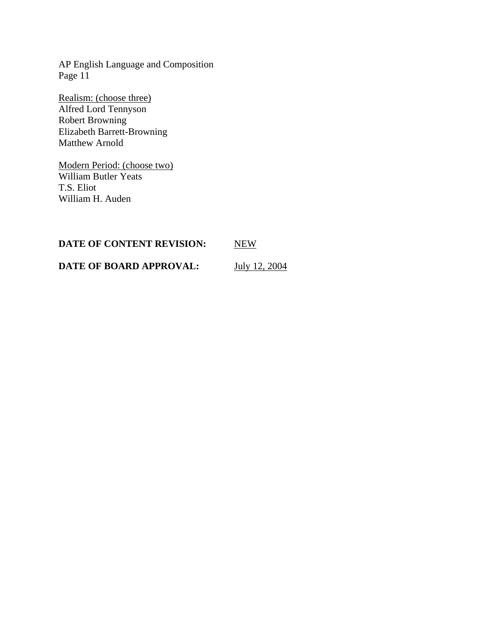Realism: (choose three) Alfred Lord Tennyson Robert Browning Elizabeth Barrett-Browning Matthew Arnold

Modern Period: (choose two) William Butler Yeats T.S. Eliot William H. Auden

| DATE OF CONTENT REVISION: | <b>NEW</b>    |
|---------------------------|---------------|
| DATE OF BOARD APPROVAL:   | July 12, 2004 |